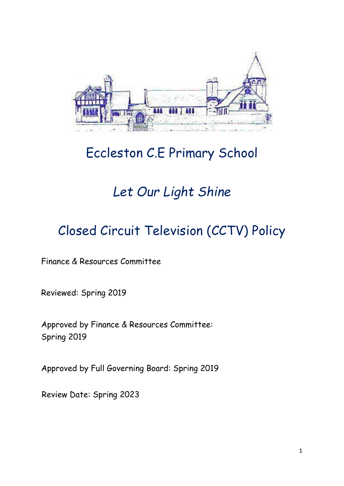

# Eccleston C.E Primary School

# *Let Our Light Shine*

# Closed Circuit Television (CCTV) Policy

Finance & Resources Committee

Reviewed: Spring 2019

Approved by Finance & Resources Committee: Spring 2019

Approved by Full Governing Board: Spring 2019

Review Date: Spring 2023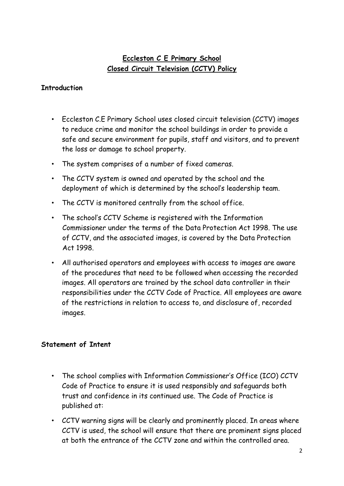## **Eccleston C E Primary School Closed Circuit Television (CCTV) Policy**

#### **Introduction**

- Eccleston C.E Primary School uses closed circuit television (CCTV) images to reduce crime and monitor the school buildings in order to provide a safe and secure environment for pupils, staff and visitors, and to prevent the loss or damage to school property.
- The system comprises of a number of fixed cameras.
- The CCTV system is owned and operated by the school and the deployment of which is determined by the school's leadership team.
- The CCTV is monitored centrally from the school office.
- The school's CCTV Scheme is registered with the Information Commissioner under the terms of the Data Protection Act 1998. The use of CCTV, and the associated images, is covered by the Data Protection Act 1998.
- All authorised operators and employees with access to images are aware of the procedures that need to be followed when accessing the recorded images. All operators are trained by the school data controller in their responsibilities under the CCTV Code of Practice. All employees are aware of the restrictions in relation to access to, and disclosure of, recorded images.

#### **Statement of Intent**

- The school complies with Information Commissioner's Office (ICO) CCTV Code of Practice to ensure it is used responsibly and safeguards both trust and confidence in its continued use. The Code of Practice is published at:
- CCTV warning signs will be clearly and prominently placed. In areas where CCTV is used, the school will ensure that there are prominent signs placed at both the entrance of the CCTV zone and within the controlled area.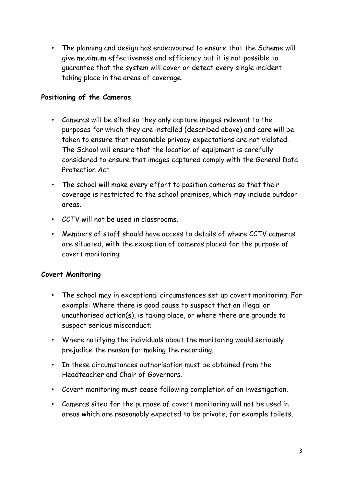• The planning and design has endeavoured to ensure that the Scheme will give maximum effectiveness and efficiency but it is not possible to guarantee that the system will cover or detect every single incident taking place in the areas of coverage.

#### **Positioning of the Cameras**

- Cameras will be sited so they only capture images relevant to the purposes for which they are installed (described above) and care will be taken to ensure that reasonable privacy expectations are not violated. The School will ensure that the location of equipment is carefully considered to ensure that images captured comply with the General Data Protection Act
- The school will make every effort to position cameras so that their coverage is restricted to the school premises, which may include outdoor areas.
- CCTV will not be used in classrooms.
- Members of staff should have access to details of where CCTV cameras are situated, with the exception of cameras placed for the purpose of covert monitoring.

## **Covert Monitoring**

- The school may in exceptional circumstances set up covert monitoring. For example: Where there is good cause to suspect that an illegal or unauthorised action(s), is taking place, or where there are grounds to suspect serious misconduct;
- Where notifying the individuals about the monitoring would seriously prejudice the reason for making the recording.
- In these circumstances authorisation must be obtained from the Headteacher and Chair of Governors.
- Covert monitoring must cease following completion of an investigation.
- Cameras sited for the purpose of covert monitoring will not be used in areas which are reasonably expected to be private, for example toilets.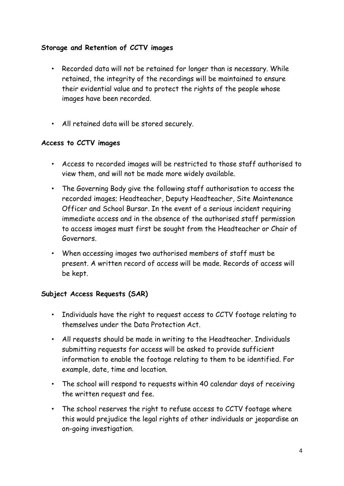### **Storage and Retention of CCTV images**

- Recorded data will not be retained for longer than is necessary. While retained, the integrity of the recordings will be maintained to ensure their evidential value and to protect the rights of the people whose images have been recorded.
- All retained data will be stored securely.

### **Access to CCTV images**

- Access to recorded images will be restricted to those staff authorised to view them, and will not be made more widely available.
- The Governing Body give the following staff authorisation to access the recorded images; Headteacher, Deputy Headteacher, Site Maintenance Officer and School Bursar. In the event of a serious incident requiring immediate access and in the absence of the authorised staff permission to access images must first be sought from the Headteacher or Chair of Governors.
- When accessing images two authorised members of staff must be present. A written record of access will be made. Records of access will be kept.

## **Subject Access Requests (SAR)**

- Individuals have the right to request access to CCTV footage relating to themselves under the Data Protection Act.
- All requests should be made in writing to the Headteacher. Individuals submitting requests for access will be asked to provide sufficient information to enable the footage relating to them to be identified. For example, date, time and location.
- The school will respond to requests within 40 calendar days of receiving the written request and fee.
- The school reserves the right to refuse access to CCTV footage where this would prejudice the legal rights of other individuals or jeopardise an on-going investigation.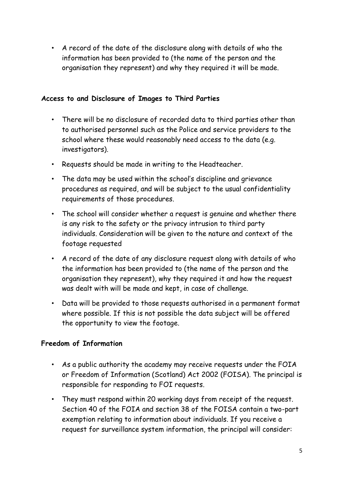• A record of the date of the disclosure along with details of who the information has been provided to (the name of the person and the organisation they represent) and why they required it will be made.

#### **Access to and Disclosure of Images to Third Parties**

- There will be no disclosure of recorded data to third parties other than to authorised personnel such as the Police and service providers to the school where these would reasonably need access to the data (e.g. investigators).
- Requests should be made in writing to the Headteacher.
- The data may be used within the school's discipline and grievance procedures as required, and will be subject to the usual confidentiality requirements of those procedures.
- The school will consider whether a request is genuine and whether there is any risk to the safety or the privacy intrusion to third party individuals. Consideration will be given to the nature and context of the footage requested
- A record of the date of any disclosure request along with details of who the information has been provided to (the name of the person and the organisation they represent), why they required it and how the request was dealt with will be made and kept, in case of challenge.
- Data will be provided to those requests authorised in a permanent format where possible. If this is not possible the data subject will be offered the opportunity to view the footage.

## **Freedom of Information**

- As a public authority the academy may receive requests under the FOIA or Freedom of Information (Scotland) Act 2002 (FOISA). The principal is responsible for responding to FOI requests.
- They must respond within 20 working days from receipt of the request. Section 40 of the FOIA and section 38 of the FOISA contain a two-part exemption relating to information about individuals. If you receive a request for surveillance system information, the principal will consider: